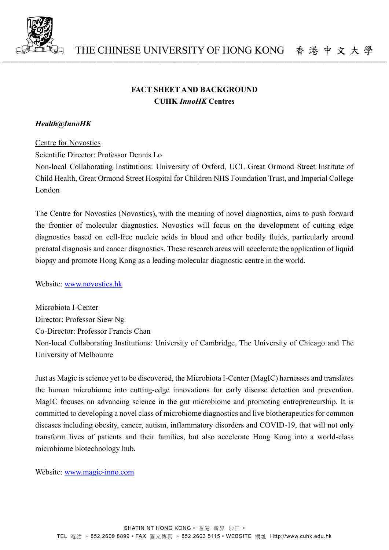

# **FACT SHEET AND BACKGROUND CUHK** *InnoHK* **Centres**

─────────────────────────────────────────────────

### *Health@InnoHK*

#### Centre for Novostics

Scientific Director: Professor Dennis Lo

Non-local Collaborating Institutions: University of Oxford, UCL Great Ormond Street Institute of Child Health, Great Ormond Street Hospital for Children NHS Foundation Trust, and Imperial College London

The Centre for Novostics (Novostics), with the meaning of novel diagnostics, aims to push forward the frontier of molecular diagnostics. Novostics will focus on the development of cutting edge diagnostics based on cell-free nucleic acids in blood and other bodily fluids, particularly around prenatal diagnosis and cancer diagnostics. These research areas will accelerate the application of liquid biopsy and promote Hong Kong as a leading molecular diagnostic centre in the world.

Website: [www.novostics.hk](http://www.novostics.hk/)

Microbiota I-Center Director: Professor Siew Ng Co-Director: Professor Francis Chan Non-local Collaborating Institutions: University of Cambridge, The University of Chicago and The University of Melbourne

Just as Magic is science yet to be discovered, the Microbiota I-Center (MagIC) harnesses and translates the human microbiome into cutting-edge innovations for early disease detection and prevention. MagIC focuses on advancing science in the gut microbiome and promoting entrepreneurship. It is committed to developing a novel class of microbiome diagnostics and live biotherapeutics for common diseases including obesity, cancer, autism, inflammatory disorders and COVID-19, that will not only transform lives of patients and their families, but also accelerate Hong Kong into a world-class microbiome biotechnology hub.

Website: [www.magic-inno.com](http://www.magic-inno.com/)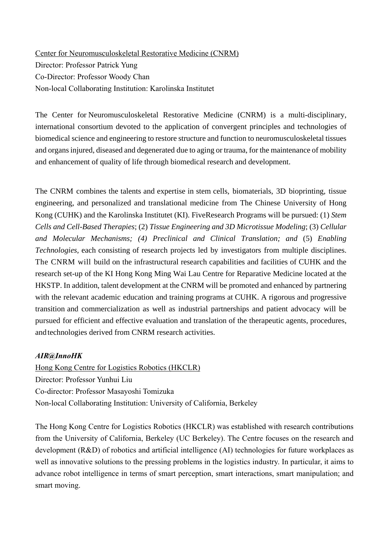Center for Neuromusculoskeletal Restorative Medicine (CNRM) Director: Professor Patrick Yung Co-Director: Professor Woody Chan Non-local Collaborating Institution: Karolinska Institutet

The Center for Neuromusculoskeletal Restorative Medicine (CNRM) is a multi-disciplinary, international consortium devoted to the application of convergent principles and technologies of biomedical science and engineering to restore structure and function to neuromusculoskeletal tissues and organsinjured, diseased and degenerated due to aging or trauma, for the maintenance of mobility and enhancement of quality of life through biomedical research and development.

The CNRM combines the talents and expertise in stem cells, biomaterials, 3D bioprinting, tissue engineering, and personalized and translational medicine from The Chinese University of Hong Kong (CUHK) and the Karolinska Institutet (KI). FiveResearch Programs will be pursued: (1) *Stem Cells and Cell-Based Therapies*; (2) *Tissue Engineering and 3D Microtissue Modeling*; (3) *Cellular and Molecular Mechanisms; (4) Preclinical and Clinical Translation; and* (5) *Enabling Technologies,* each consisting of research projects led by investigators from multiple disciplines. The CNRM will build on the infrastructural research capabilities and facilities of CUHK and the research set-up of the KI Hong Kong Ming Wai Lau Centre for Reparative Medicine located at the HKSTP. In addition, talent development at the CNRM will be promoted and enhanced by partnering with the relevant academic education and training programs at CUHK. A rigorous and progressive transition and commercialization as well as industrial partnerships and patient advocacy will be pursued for efficient and effective evaluation and translation of the therapeutic agents, procedures, and technologies derived from CNRM research activities.

## *AIR@InnoHK*

Hong Kong Centre for Logistics Robotics (HKCLR) Director: Professor Yunhui Liu Co-director: Professor Masayoshi Tomizuka Non-local Collaborating Institution: University of California, Berkeley

The Hong Kong Centre for Logistics Robotics (HKCLR) was established with research contributions from the University of California, Berkeley (UC Berkeley). The Centre focuses on the research and development (R&D) of robotics and artificial intelligence (AI) technologies for future workplaces as well as innovative solutions to the pressing problems in the logistics industry. In particular, it aims to advance robot intelligence in terms of smart perception, smart interactions, smart manipulation; and smart moving.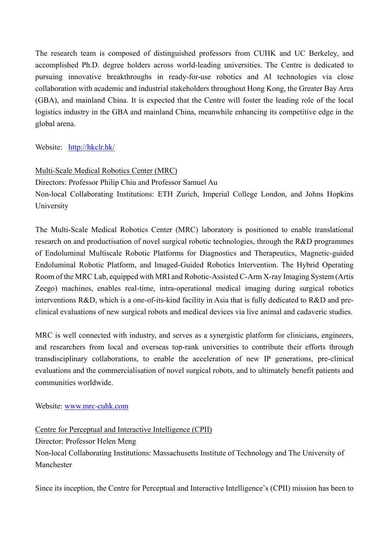The research team is composed of distinguished professors from CUHK and UC Berkeley, and accomplished Ph.D. degree holders across world-leading universities. The Centre is dedicated to pursuing innovative breakthroughs in ready-for-use robotics and AI technologies via close collaboration with academic and industrial stakeholders throughout Hong Kong, the Greater Bay Area (GBA), and mainland China. It is expected that the Centre will foster the leading role of the local logistics industry in the GBA and mainland China, meanwhile enhancing its competitive edge in the global arena.

Website: [http://hkclr.hk/](https://apc01.safelinks.protection.outlook.com/?url=http%3A%2F%2Fhkclr.hk%2F&data=04%7C01%7Cek%40hkclr.hk%7Ca3b12745304241dd946108d99f3dfedf%7C76b53d4142f94c459ce3e480eb8ebf53%7C1%7C0%7C637715911053938144%7CUnknown%7CTWFpbGZsb3d8eyJWIjoiMC4wLjAwMDAiLCJQIjoiV2luMzIiLCJBTiI6Ik1haWwiLCJXVCI6Mn0%3D%7C1000&sdata=%2F1VGAEh7f1rctEpVGQ4z5MxaeErND%2BCvYACvTaCBhqI%3D&reserved=0)

# Multi-Scale Medical Robotics Center (MRC)

Directors: Professor Philip Chiu and Professor Samuel Au

Non-local Collaborating Institutions: ETH Zurich, Imperial College London, and Johns Hopkins University

The Multi-Scale Medical Robotics Center (MRC) laboratory is positioned to enable translational research on and productisation of novel surgical robotic technologies, through the R&D programmes of Endoluminal Multiscale Robotic Platforms for Diagnostics and Therapeutics, Magnetic-guided Endoluminal Robotic Platform, and Imaged-Guided Robotics Intervention. The Hybrid Operating Room of the MRC Lab, equipped with MRI and Robotic-Assisted C-Arm X-ray Imaging System (Artis Zeego) machines, enables real-time, intra-operational medical imaging during surgical robotics interventions R&D, which is a one-of-its-kind facility in Asia that is fully dedicated to R&D and preclinical evaluations of new surgical robots and medical devices via live animal and cadaveric studies.

MRC is well connected with industry, and serves as a synergistic platform for clinicians, engineers, and researchers from local and overseas top-rank universities to contribute their efforts through transdisciplinary collaborations, to enable the acceleration of new IP generations, pre-clinical evaluations and the commercialisation of novel surgical robots, and to ultimately benefit patients and communities worldwide.

Website: [www.mrc-cuhk.com](http://www.mrc-cuhk.com/)

Centre for Perceptual and Interactive Intelligence (CPII)

Director: Professor Helen Meng

Non-local Collaborating Institutions: Massachusetts Institute of Technology and The University of Manchester

Since its inception, the Centre for Perceptual and Interactive Intelligence's (CPII) mission has been to